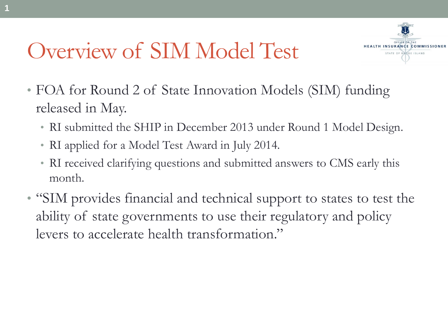### Overview of SIM Model Test



- FOA for Round 2 of State Innovation Models (SIM) funding released in May.
	- RI submitted the SHIP in December 2013 under Round 1 Model Design.
	- RI applied for a Model Test Award in July 2014.
	- RI received clarifying questions and submitted answers to CMS early this month.
- "SIM provides financial and technical support to states to test the ability of state governments to use their regulatory and policy levers to accelerate health transformation."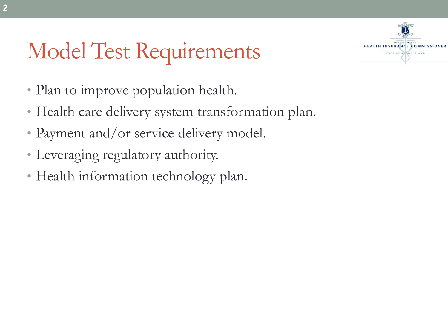# Model Test Requirements



- Plan to improve population health.
- Health care delivery system transformation plan.
- Payment and/or service delivery model.
- Leveraging regulatory authority.
- Health information technology plan.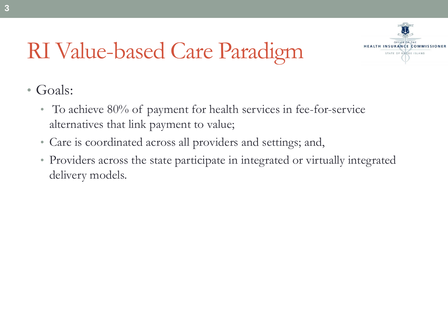# RI Value-based Care Paradigm



- Goals:
	- To achieve 80% of payment for health services in fee-for-service alternatives that link payment to value;
	- Care is coordinated across all providers and settings; and,
	- Providers across the state participate in integrated or virtually integrated delivery models.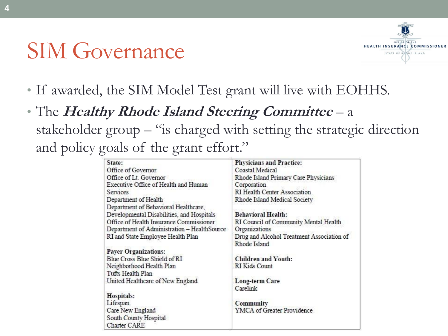#### SIM Governance



- If awarded, the SIM Model Test grant will live with EOHHS.
- The **Healthy Rhode Island Steering Committee** a stakeholder group – "is charged with setting the strategic direction and policy goals of the grant effort."

| State:                                      | <b>Physicians and Practice:</b>           |
|---------------------------------------------|-------------------------------------------|
| Office of Governor                          | Coastal Medical                           |
| Office of Lt. Governor                      | Rhode Island Primary Care Physicians      |
| Executive Office of Health and Human        | Corporation                               |
| Services                                    | <b>RI Health Center Association</b>       |
| Department of Health                        | Rhode Island Medical Society              |
| Department of Behavioral Healthcare,        |                                           |
| Developmental Disabilities, and Hospitals   | <b>Behavioral Health:</b>                 |
| Office of Health Insurance Commissioner     | RI Council of Community Mental Health     |
| Department of Administration - HealthSource | Organizations                             |
| RI and State Employee Health Plan           | Drug and Alcohol Treatment Association of |
|                                             | Rhode Island                              |
| <b>Payer Organizations:</b>                 |                                           |
| Blue Cross Blue Shield of RI                | <b>Children and Youth:</b>                |
| Neighborhood Health Plan                    | <b>RI</b> Kids Count                      |
| Tufts Health Plan                           |                                           |
| United Healthcare of New England            | Long-term Care                            |
|                                             | Carelink                                  |
| Hospitals:                                  |                                           |
| Lifespan                                    | Community                                 |
| Care New England                            | <b>YMCA</b> of Greater Providence         |
| South County Hospital                       |                                           |
| Charter CARE                                |                                           |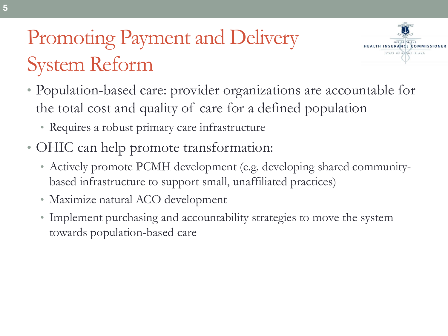### Promoting Payment and Delivery System Reform



- Population-based care: provider organizations are accountable for the total cost and quality of care for a defined population
	- Requires a robust primary care infrastructure
- OHIC can help promote transformation:
	- Actively promote PCMH development (e.g. developing shared communitybased infrastructure to support small, unaffiliated practices)
	- Maximize natural ACO development
	- Implement purchasing and accountability strategies to move the system towards population-based care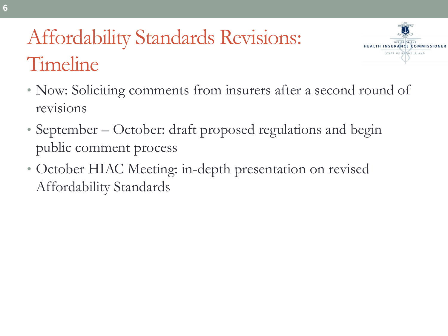### Affordability Standards Revisions: Timeline



- Now: Soliciting comments from insurers after a second round of revisions
- September October: draft proposed regulations and begin public comment process
- October HIAC Meeting: in-depth presentation on revised Affordability Standards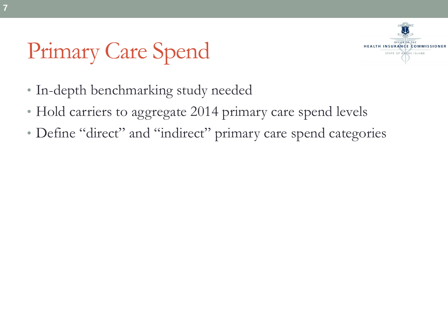# Primary Care Spend



- In-depth benchmarking study needed
- Hold carriers to aggregate 2014 primary care spend levels
- Define "direct" and "indirect" primary care spend categories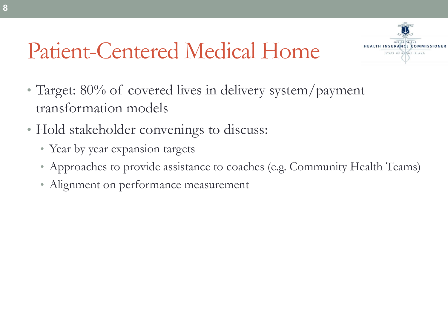#### Patient-Centered Medical Home



- Target: 80% of covered lives in delivery system/payment transformation models
- Hold stakeholder convenings to discuss:
	- Year by year expansion targets
	- Approaches to provide assistance to coaches (e.g. Community Health Teams)
	- Alignment on performance measurement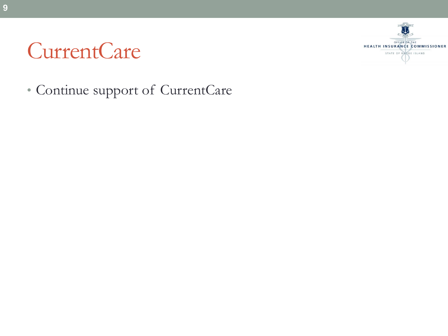



• Continue support of CurrentCare